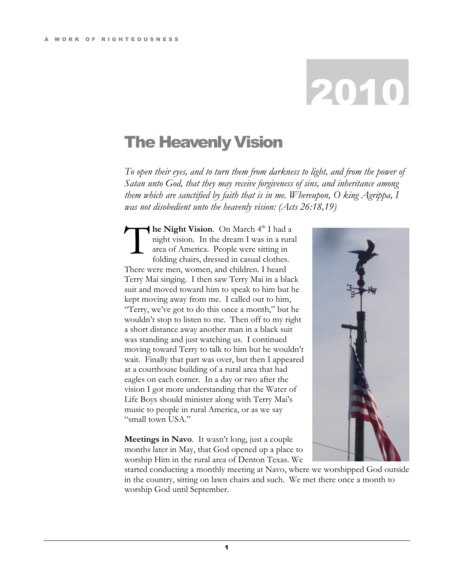## 2010

## The Heavenly Vision

*To open their eyes, and to turn them from darkness to light, and from the power of Satan unto God, that they may receive forgiveness of sins, and inheritance among them which are sanctified by faith that is in me. Whereupon, O king Agrippa, I was not disobedient unto the heavenly vision: (Acts 26:18,19)*

he Night Vision. On March 4<sup>th</sup> I had a night vision. In the dream I was in a rural area of America. People were sitting in folding chairs, dressed in casual clothes. There were men, women, and children. I heard Terry Mai singing. I then saw Terry Mai in a black suit and moved toward him to speak to him but he kept moving away from me. I called out to him, "Terry, we've got to do this once a month," but he wouldn't stop to listen to me. Then off to my right a short distance away another man in a black suit was standing and just watching us. I continued moving toward Terry to talk to him but he wouldn't wait. Finally that part was over, but then I appeared at a courthouse building of a rural area that had eagles on each corner. In a day or two after the vision I got more understanding that the Water of Life Boys should minister along with Terry Mai's music to people in rural America, or as we say "small town USA." T

**Meetings in Navo**. It wasn't long, just a couple months later in May, that God opened up a place to worship Him in the rural area of Denton Texas. We



started conducting a monthly meeting at Navo, where we worshipped God outside in the country, sitting on lawn chairs and such. We met there once a month to worship God until September.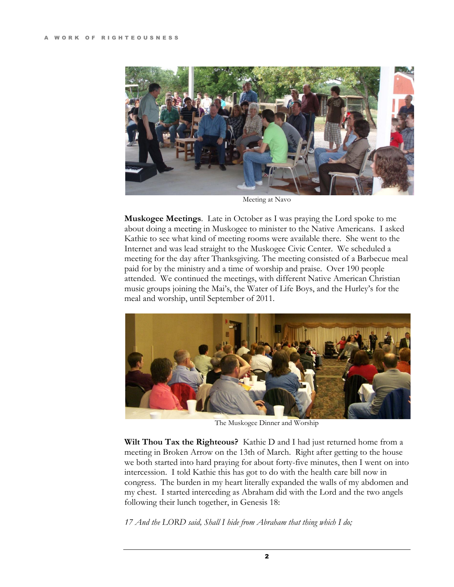

Meeting at Navo

**Muskogee Meetings**. Late in October as I was praying the Lord spoke to me about doing a meeting in Muskogee to minister to the Native Americans. I asked Kathie to see what kind of meeting rooms were available there. She went to the Internet and was lead straight to the Muskogee Civic Center. We scheduled a meeting for the day after Thanksgiving. The meeting consisted of a Barbecue meal paid for by the ministry and a time of worship and praise. Over 190 people attended. We continued the meetings, with different Native American Christian music groups joining the Mai's, the Water of Life Boys, and the Hurley's for the meal and worship, until September of 2011.



The Muskogee Dinner and Worship

**Wilt Thou Tax the Righteous?** Kathie D and I had just returned home from a meeting in Broken Arrow on the 13th of March. Right after getting to the house we both started into hard praying for about forty-five minutes, then I went on into intercession. I told Kathie this has got to do with the health care bill now in congress. The burden in my heart literally expanded the walls of my abdomen and my chest. I started interceding as Abraham did with the Lord and the two angels following their lunch together, in Genesis 18:

*17 And the LORD said, Shall I hide from Abraham that thing which I do;*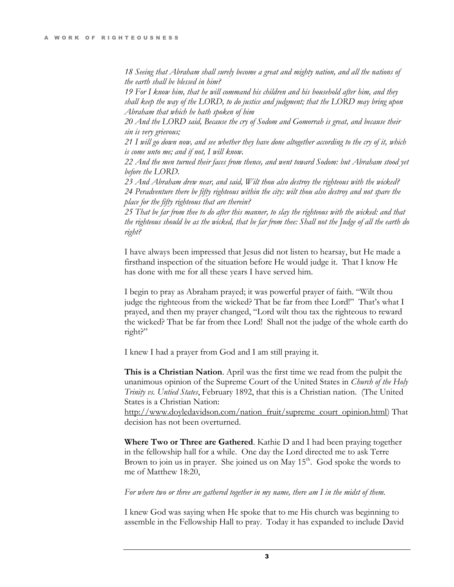*18 Seeing that Abraham shall surely become a great and mighty nation, and all the nations of the earth shall be blessed in him?* 

*19 For I know him, that he will command his children and his household after him, and they shall keep the way of the LORD, to do justice and judgment; that the LORD may bring upon Abraham that which he hath spoken of him*

*20 And the LORD said, Because the cry of Sodom and Gomorrah is great, and because their sin is very grievous;* 

*21 I will go down now, and see whether they have done altogether according to the cry of it, which is come unto me; and if not, I will know.* 

*22 And the men turned their faces from thence, and went toward Sodom: but Abraham stood yet before the LORD.* 

*23 And Abraham drew near, and said, Wilt thou also destroy the righteous with the wicked? 24 Peradventure there be fifty righteous within the city: wilt thou also destroy and not spare the place for the fifty righteous that are therein?*

*25 That be far from thee to do after this manner, to slay the righteous with the wicked: and that the righteous should be as the wicked, that be far from thee: Shall not the Judge of all the earth do right?* 

I have always been impressed that Jesus did not listen to hearsay, but He made a firsthand inspection of the situation before He would judge it. That I know He has done with me for all these years I have served him.

I begin to pray as Abraham prayed; it was powerful prayer of faith. "Wilt thou judge the righteous from the wicked? That be far from thee Lord!" That's what I prayed, and then my prayer changed, "Lord wilt thou tax the righteous to reward the wicked? That be far from thee Lord! Shall not the judge of the whole earth do right?"

I knew I had a prayer from God and I am still praying it.

**This is a Christian Nation**. April was the first time we read from the pulpit the unanimous opinion of the Supreme Court of the United States in *Church of the Holy Trinity vs. Untied States*, February 1892, that this is a Christian nation. (The United States is a Christian Nation:

[http://www.doyledavidson.com/nation\\_fruit/supreme\\_court\\_opinion.html\)](http://www.doyledavidson.com/nation_fruit/supreme_court_opinion.html) That decision has not been overturned.

**Where Two or Three are Gathered**. Kathie D and I had been praying together in the fellowship hall for a while. One day the Lord directed me to ask Terre Brown to join us in prayer. She joined us on May  $15<sup>th</sup>$ . God spoke the words to me of Matthew 18:20,

*For where two or three are gathered together in my name, there am I in the midst of them.* 

I knew God was saying when He spoke that to me His church was beginning to assemble in the Fellowship Hall to pray. Today it has expanded to include David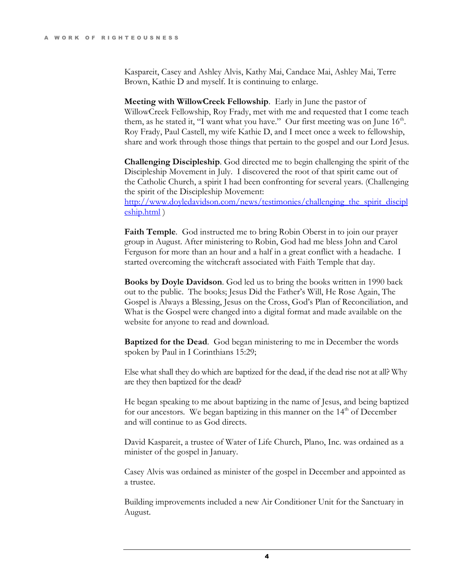Kaspareit, Casey and Ashley Alvis, Kathy Mai, Candace Mai, Ashley Mai, Terre Brown, Kathie D and myself. It is continuing to enlarge.

**Meeting with WillowCreek Fellowship**. Early in June the pastor of WillowCreek Fellowship, Roy Frady, met with me and requested that I come teach them, as he stated it, "I want what you have." Our first meeting was on June  $16<sup>th</sup>$ . Roy Frady, Paul Castell, my wife Kathie D, and I meet once a week to fellowship, share and work through those things that pertain to the gospel and our Lord Jesus.

**Challenging Discipleship**. God directed me to begin challenging the spirit of the Discipleship Movement in July. I discovered the root of that spirit came out of the Catholic Church, a spirit I had been confronting for several years. (Challenging the spirit of the Discipleship Movement: [http://www.doyledavidson.com/news/testimonies/challenging\\_the\\_spirit\\_discipl](http://www.doyledavidson.com/news/testimonies/challenging_the_spirit_discipleship.html) [eship.html](http://www.doyledavidson.com/news/testimonies/challenging_the_spirit_discipleship.html) )

**Faith Temple**. God instructed me to bring Robin Oberst in to join our prayer group in August. After ministering to Robin, God had me bless John and Carol Ferguson for more than an hour and a half in a great conflict with a headache. I started overcoming the witchcraft associated with Faith Temple that day.

**Books by Doyle Davidson**. God led us to bring the books written in 1990 back out to the public. The books; Jesus Did the Father's Will, He Rose Again, The Gospel is Always a Blessing, Jesus on the Cross, God's Plan of Reconciliation, and What is the Gospel were changed into a digital format and made available on the website for anyone to read and download.

**Baptized for the Dead**. God began ministering to me in December the words spoken by Paul in I Corinthians 15:29;

Else what shall they do which are baptized for the dead, if the dead rise not at all? Why are they then baptized for the dead?

He began speaking to me about baptizing in the name of Jesus, and being baptized for our ancestors. We began baptizing in this manner on the  $14<sup>th</sup>$  of December and will continue to as God directs.

David Kaspareit, a trustee of Water of Life Church, Plano, Inc. was ordained as a minister of the gospel in January.

Casey Alvis was ordained as minister of the gospel in December and appointed as a trustee.

Building improvements included a new Air Conditioner Unit for the Sanctuary in August.